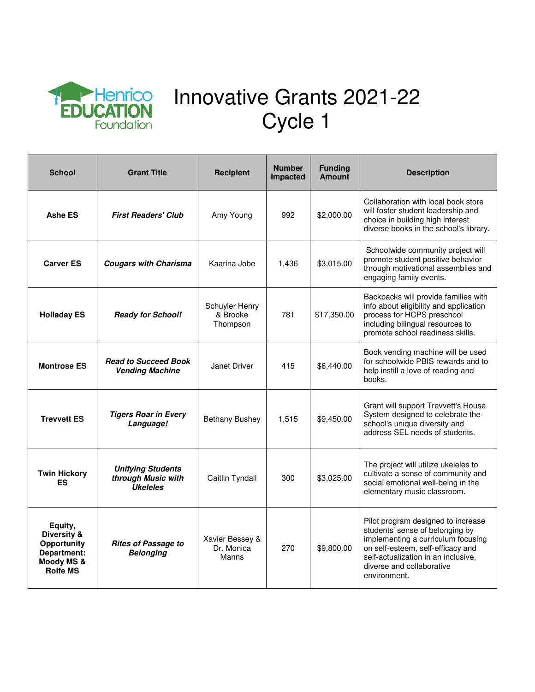

## Innovative Grants 2021-22 Cycle 1

| <b>School</b>                                                                                    | <b>Grant Title</b>                                                | <b>Recipient</b>                       | <b>Number</b><br><b>Impacted</b> | <b>Funding</b><br><b>Amount</b> | <b>Description</b>                                                                                                                                                                                                                   |
|--------------------------------------------------------------------------------------------------|-------------------------------------------------------------------|----------------------------------------|----------------------------------|---------------------------------|--------------------------------------------------------------------------------------------------------------------------------------------------------------------------------------------------------------------------------------|
| <b>Ashe ES</b>                                                                                   | <b>First Readers' Club</b>                                        | Amy Young                              | 992                              | \$2,000.00                      | Collaboration with local book store<br>will foster student leadership and<br>choice in building high interest<br>diverse books in the school's library.                                                                              |
| <b>Carver ES</b>                                                                                 | <b>Cougars with Charisma</b>                                      | Kaarina Jobe                           | 1,436                            | \$3,015.00                      | Schoolwide community project will<br>promote student positive behavior<br>through motivational assemblies and<br>engaging family events.                                                                                             |
| <b>Holladay ES</b>                                                                               | <b>Ready for School!</b>                                          | Schuyler Henry<br>& Brooke<br>Thompson | 781                              | \$17,350.00                     | Backpacks will provide families with<br>info about eligibility and application<br>process for HCPS preschool<br>including bilingual resources to<br>promote school readiness skills.                                                 |
| <b>Montrose ES</b>                                                                               | <b>Read to Succeed Book</b><br><b>Vending Machine</b>             | Janet Driver                           | 415                              | \$6,440.00                      | Book vending machine will be used<br>for schoolwide PBIS rewards and to<br>help instill a love of reading and<br>books.                                                                                                              |
| <b>Trevvett ES</b>                                                                               | <b>Tigers Roar in Every</b><br>Language!                          | <b>Bethany Bushey</b>                  | 1,515                            | \$9,450.00                      | Grant will support Trevvett's House<br>System designed to celebrate the<br>school's unique diversity and<br>address SEL needs of students.                                                                                           |
| <b>Twin Hickory</b><br>ES                                                                        | <b>Unifying Students</b><br>through Music with<br><b>Ukeleles</b> | Caitlin Tyndall                        | 300                              | \$3,025.00                      | The project will utilize ukeleles to<br>cultivate a sense of community and<br>social emotional well-being in the<br>elementary music classroom.                                                                                      |
| Equity,<br><b>Diversity &amp;</b><br>Opportunity<br>Department:<br>Moody MS &<br><b>Rolfe MS</b> | <b>Rites of Passage to</b><br><b>Belonging</b>                    | Xavier Bessey &<br>Dr. Monica<br>Manns | 270                              | \$9,800.00                      | Pilot program designed to increase<br>students' sense of belonging by<br>implementing a curriculum focusing<br>on self-esteem, self-efficacy and<br>self-actualization in an inclusive,<br>diverse and collaborative<br>environment. |